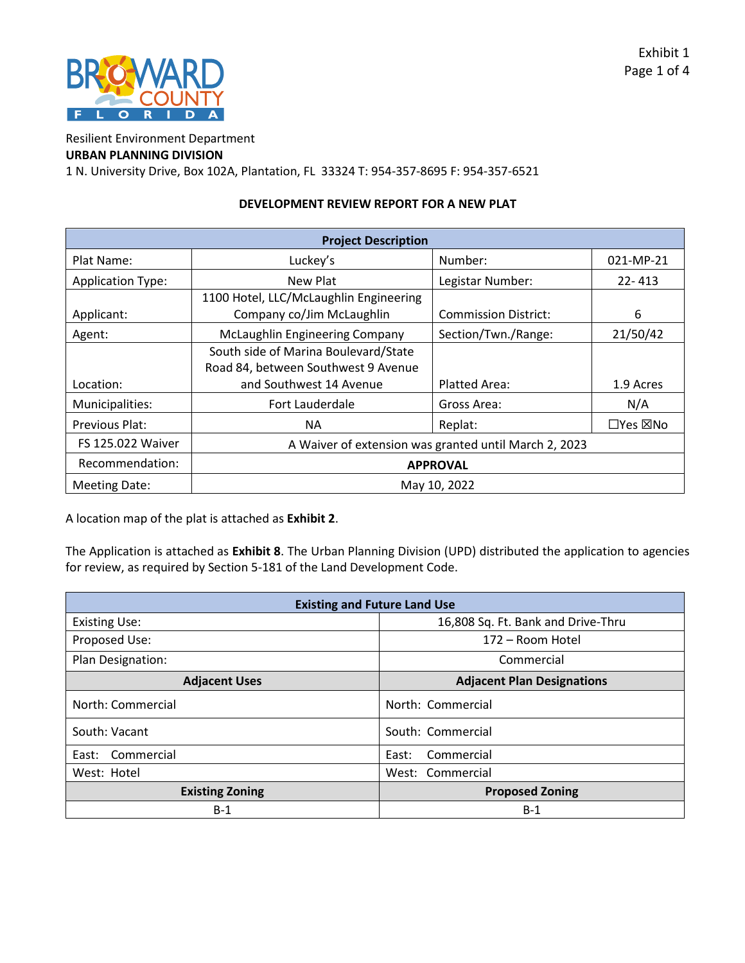

Resilient Environment Department

## **URBAN PLANNING DIVISION**

1 N. University Drive, Box 102A, Plantation, FL 33324 T: 954-357-8695 F: 954-357-6521

## **DEVELOPMENT REVIEW REPORT FOR A NEW PLAT**

| <b>Project Description</b> |                                                                             |                             |                           |  |
|----------------------------|-----------------------------------------------------------------------------|-----------------------------|---------------------------|--|
| Plat Name:                 | Luckey's                                                                    | Number:                     | 021-MP-21                 |  |
| <b>Application Type:</b>   | New Plat                                                                    | Legistar Number:            | $22 - 413$                |  |
| Applicant:                 | 1100 Hotel, LLC/McLaughlin Engineering<br>Company co/Jim McLaughlin         | <b>Commission District:</b> | 6                         |  |
| Agent:                     | <b>McLaughlin Engineering Company</b>                                       | Section/Twn./Range:         | 21/50/42                  |  |
|                            | South side of Marina Boulevard/State<br>Road 84, between Southwest 9 Avenue |                             |                           |  |
| Location:                  | and Southwest 14 Avenue                                                     | Platted Area:               | 1.9 Acres                 |  |
| Municipalities:            | Fort Lauderdale                                                             | Gross Area:                 | N/A                       |  |
| Previous Plat:             | <b>NA</b>                                                                   | Replat:                     | $\Box$ Yes $\boxtimes$ No |  |
| FS 125.022 Waiver          | A Waiver of extension was granted until March 2, 2023                       |                             |                           |  |
| Recommendation:            | <b>APPROVAL</b>                                                             |                             |                           |  |
| <b>Meeting Date:</b>       | May 10, 2022                                                                |                             |                           |  |

A location map of the plat is attached as **Exhibit 2**.

The Application is attached as **Exhibit 8**. The Urban Planning Division (UPD) distributed the application to agencies for review, as required by Section 5-181 of the Land Development Code.

| <b>Existing and Future Land Use</b> |                                    |  |  |  |
|-------------------------------------|------------------------------------|--|--|--|
| <b>Existing Use:</b>                | 16,808 Sq. Ft. Bank and Drive-Thru |  |  |  |
| Proposed Use:                       | 172 – Room Hotel                   |  |  |  |
| Plan Designation:                   | Commercial                         |  |  |  |
| <b>Adjacent Uses</b>                | <b>Adjacent Plan Designations</b>  |  |  |  |
| North: Commercial                   | North: Commercial                  |  |  |  |
| South: Vacant                       | South: Commercial                  |  |  |  |
| Commercial<br>East:                 | Commercial<br>East:                |  |  |  |
| West: Hotel                         | West: Commercial                   |  |  |  |
| <b>Existing Zoning</b>              | <b>Proposed Zoning</b>             |  |  |  |
| $B-1$                               | $B-1$                              |  |  |  |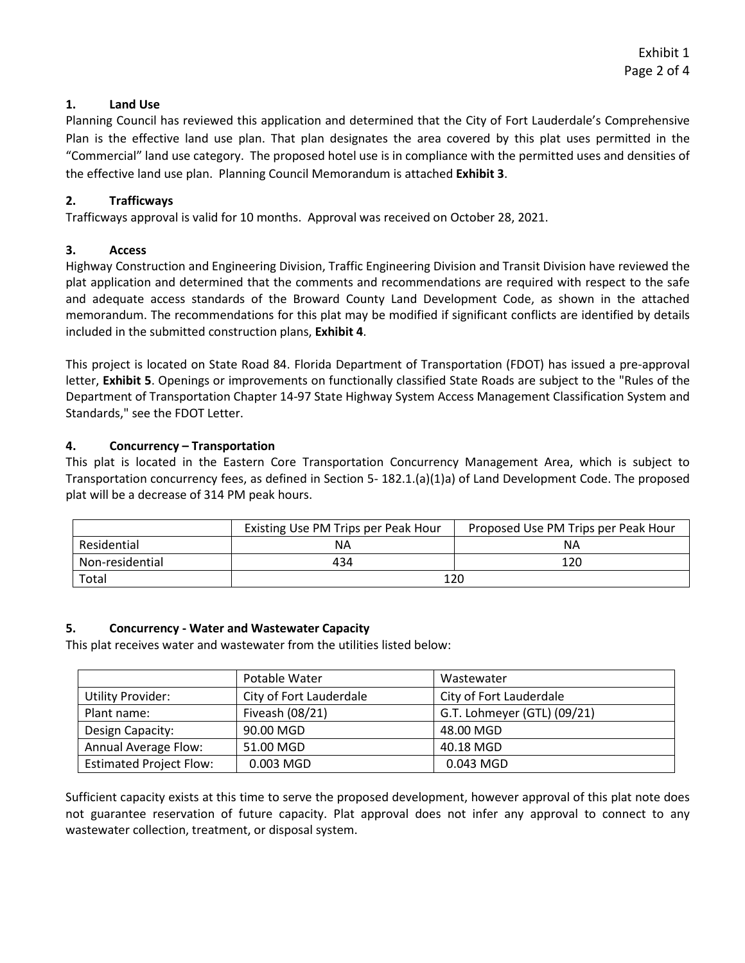## **1. Land Use**

Planning Council has reviewed this application and determined that the City of Fort Lauderdale's Comprehensive Plan is the effective land use plan. That plan designates the area covered by this plat uses permitted in the "Commercial" land use category. The proposed hotel use is in compliance with the permitted uses and densities of the effective land use plan. Planning Council Memorandum is attached **Exhibit 3**.

## **2. Trafficways**

Trafficways approval is valid for 10 months. Approval was received on October 28, 2021.

## **3. Access**

Highway Construction and Engineering Division, Traffic Engineering Division and Transit Division have reviewed the plat application and determined that the comments and recommendations are required with respect to the safe and adequate access standards of the Broward County Land Development Code, as shown in the attached memorandum. The recommendations for this plat may be modified if significant conflicts are identified by details included in the submitted construction plans, **Exhibit 4**.

This project is located on State Road 84. Florida Department of Transportation (FDOT) has issued a pre-approval letter, **Exhibit 5**. Openings or improvements on functionally classified State Roads are subject to the "Rules of the Department of Transportation Chapter 14-97 State Highway System Access Management Classification System and Standards," see the FDOT Letter.

### **4. Concurrency – Transportation**

This plat is located in the Eastern Core Transportation Concurrency Management Area, which is subject to Transportation concurrency fees, as defined in Section 5- 182.1.(a)(1)a) of Land Development Code. The proposed plat will be a decrease of 314 PM peak hours.

|                 | Existing Use PM Trips per Peak Hour | Proposed Use PM Trips per Peak Hour |
|-----------------|-------------------------------------|-------------------------------------|
| Residential     | NΑ                                  | ΝA                                  |
| Non-residential | 434                                 | 120                                 |
| Total           | 120                                 |                                     |

# **5. Concurrency - Water and Wastewater Capacity**

This plat receives water and wastewater from the utilities listed below:

|                                | Potable Water           | Wastewater                  |
|--------------------------------|-------------------------|-----------------------------|
| <b>Utility Provider:</b>       | City of Fort Lauderdale | City of Fort Lauderdale     |
| Plant name:                    | Fiveash (08/21)         | G.T. Lohmeyer (GTL) (09/21) |
| Design Capacity:               | 90.00 MGD               | 48.00 MGD                   |
| Annual Average Flow:           | 51.00 MGD               | 40.18 MGD                   |
| <b>Estimated Project Flow:</b> | 0.003 MGD               | 0.043 MGD                   |

Sufficient capacity exists at this time to serve the proposed development, however approval of this plat note does not guarantee reservation of future capacity. Plat approval does not infer any approval to connect to any wastewater collection, treatment, or disposal system.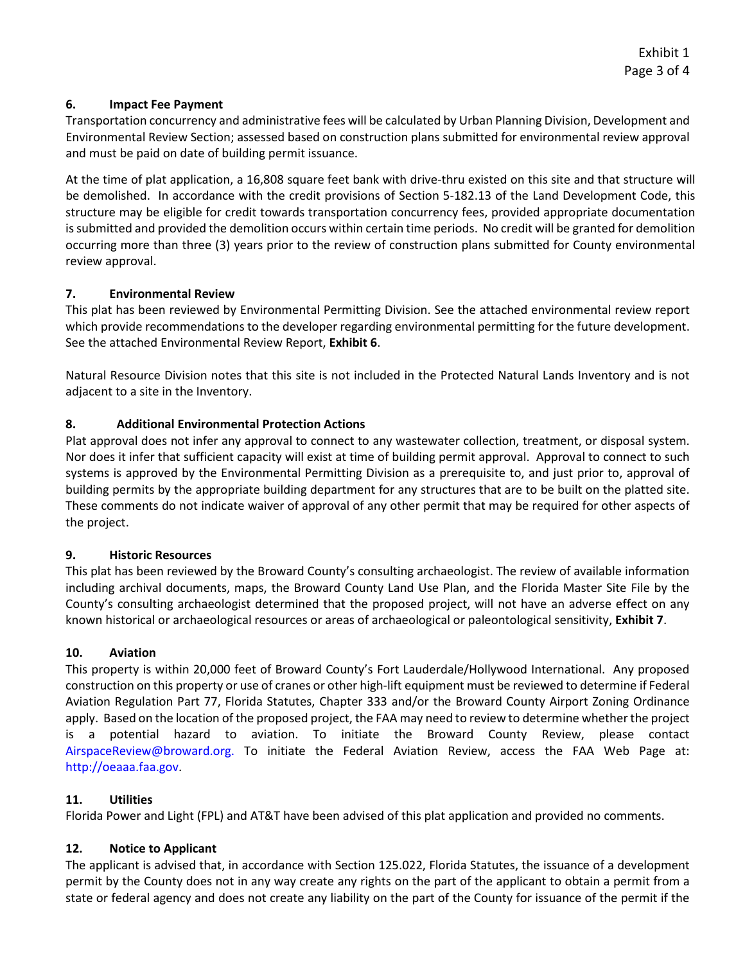# **6. Impact Fee Payment**

Transportation concurrency and administrative fees will be calculated by Urban Planning Division, Development and Environmental Review Section; assessed based on construction plans submitted for environmental review approval and must be paid on date of building permit issuance.

At the time of plat application, a 16,808 square feet bank with drive-thru existed on this site and that structure will be demolished. In accordance with the credit provisions of Section [5-182.13](https://5-182.13) of the Land Development Code, this structure may be eligible for credit towards transportation concurrency fees, provided appropriate documentation is submitted and provided the demolition occurs within certain time periods. No credit will be granted for demolition occurring more than three (3) years prior to the review of construction plans submitted for County environmental review approval.

## **7. Environmental Review**

This plat has been reviewed by Environmental Permitting Division. See the attached environmental review report which provide recommendations to the developer regarding environmental permitting for the future development. See the attached Environmental Review Report, **Exhibit 6**.

Natural Resource Division notes that this site is not included in the Protected Natural Lands Inventory and is not adjacent to a site in the Inventory.

## **8. Additional Environmental Protection Actions**

Plat approval does not infer any approval to connect to any wastewater collection, treatment, or disposal system. Nor does it infer that sufficient capacity will exist at time of building permit approval. Approval to connect to such systems is approved by the Environmental Permitting Division as a prerequisite to, and just prior to, approval of building permits by the appropriate building department for any structures that are to be built on the platted site. These comments do not indicate waiver of approval of any other permit that may be required for other aspects of the project.

### **9. Historic Resources**

This plat has been reviewed by the Broward County's consulting archaeologist. The review of available information including archival documents, maps, the Broward County Land Use Plan, and the Florida Master Site File by the County's consulting archaeologist determined that the proposed project, will not have an adverse effect on any known historical or archaeological resources or areas of archaeological or paleontological sensitivity, **Exhibit 7**.

### **10. Aviation**

This property is within 20,000 feet of Broward County's Fort Lauderdale/Hollywood International. Any proposed construction on this property or use of cranes or other high-lift equipment must be reviewed to determine if Federal Aviation Regulation Part 77, Florida Statutes, Chapter 333 and/or the Broward County Airport Zoning Ordinance apply. Based on the location of the proposed project, the FAA may need to review to determine whether the project is a potential hazard to aviation. To initiate the Broward County Review, please contact [AirspaceReview@broward.org.](mailto:AirspaceReview@broward.org) To initiate the Federal Aviation Review, access the FAA Web Page at: [http://oeaaa.faa.gov.](http://oeaaa.faa.gov/)

# **11. Utilities**

Florida Power and Light (FPL) and AT&T have been advised of this plat application and provided no comments.

# **12. Notice to Applicant**

The applicant is advised that, in accordance with Section 125.022, Florida Statutes, the issuance of a development permit by the County does not in any way create any rights on the part of the applicant to obtain a permit from a state or federal agency and does not create any liability on the part of the County for issuance of the permit if the